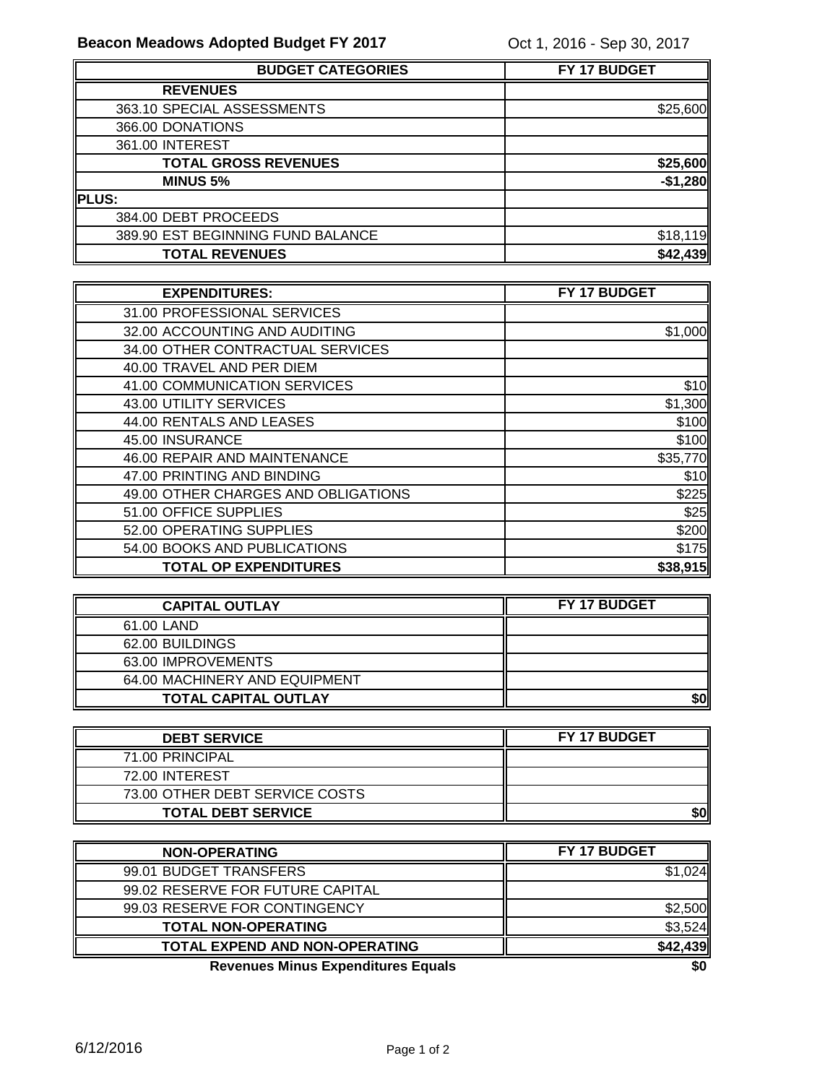| <b>BUDGET CATEGORIES</b>          | FY 17 BUDGET |
|-----------------------------------|--------------|
| <b>REVENUES</b>                   |              |
| 363.10 SPECIAL ASSESSMENTS        | \$25,600     |
| 366.00 DONATIONS                  |              |
| 361.00 INTEREST                   |              |
| <b>TOTAL GROSS REVENUES</b>       | \$25,600     |
| <b>MINUS 5%</b>                   | $-$1,280$    |
| <b>IPLUS:</b>                     |              |
| 384.00 DEBT PROCEEDS              |              |
| 389.90 EST BEGINNING FUND BALANCE | \$18,119     |
| <b>TOTAL REVENUES</b>             | \$42,439     |

| <b>EXPENDITURES:</b>                | FY 17 BUDGET |
|-------------------------------------|--------------|
| 31.00 PROFESSIONAL SERVICES         |              |
| 32.00 ACCOUNTING AND AUDITING       | \$1,000      |
| 34.00 OTHER CONTRACTUAL SERVICES    |              |
| 40.00 TRAVEL AND PER DIEM           |              |
| 41.00 COMMUNICATION SERVICES        | \$10         |
| 43.00 UTILITY SERVICES              | \$1,300      |
| 44.00 RENTALS AND LEASES            | \$100        |
| 45.00 INSURANCE                     | \$100        |
| 46.00 REPAIR AND MAINTENANCE        | \$35,770     |
| 47.00 PRINTING AND BINDING          | \$10         |
| 49.00 OTHER CHARGES AND OBLIGATIONS | \$225        |
| 51.00 OFFICE SUPPLIES               | \$25         |
| 52.00 OPERATING SUPPLIES            | \$200        |
| 54.00 BOOKS AND PUBLICATIONS        | \$175        |
| <b>TOTAL OP EXPENDITURES</b>        | \$38,915     |

| <b>CAPITAL OUTLAY</b>         | <b>FY 17 BUDGET</b> |
|-------------------------------|---------------------|
| 61.00 LAND                    |                     |
| 62.00 BUILDINGS               |                     |
| 63.00 IMPROVEMENTS            |                     |
| 64.00 MACHINERY AND EQUIPMENT |                     |
| <b>TOTAL CAPITAL OUTLAY</b>   |                     |

| <b>DEBT SERVICE</b>            | <b>FY 17 BUDGET</b> |
|--------------------------------|---------------------|
| 71.00 PRINCIPAL                |                     |
| 72.00 INTEREST                 |                     |
| 73.00 OTHER DEBT SERVICE COSTS |                     |
| <b>TOTAL DEBT SERVICE</b>      | \$0                 |

| <b>NON-OPERATING</b>                      | FY 17 BUDGET |
|-------------------------------------------|--------------|
| 99.01 BUDGET TRANSFERS                    | \$1.024      |
| 99.02 RESERVE FOR FUTURE CAPITAL          |              |
| 99.03 RESERVE FOR CONTINGENCY             | \$2,500      |
| <b>TOTAL NON-OPERATING</b>                | \$3,524      |
| TOTAL EXPEND AND NON-OPERATING            | \$42,439     |
| <b>Revenues Minus Expenditures Equals</b> | \$0          |